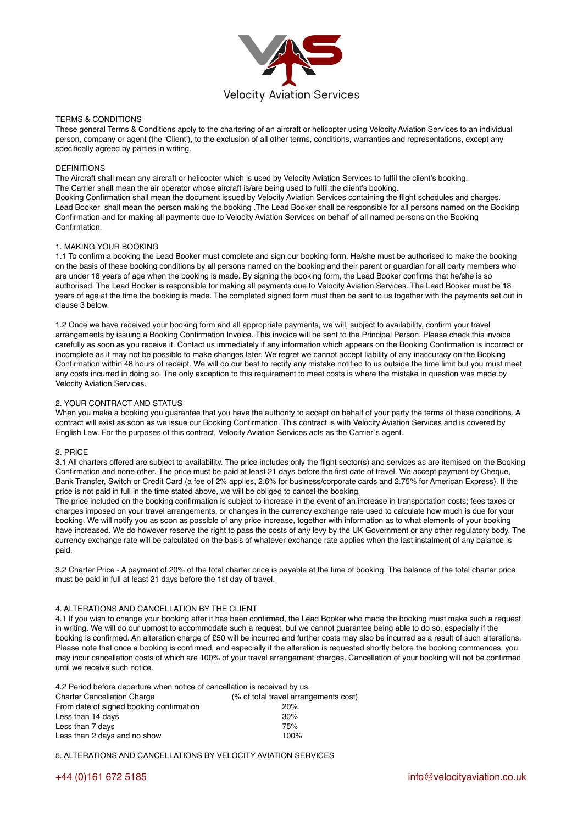

## TERMS & CONDITIONS

These general Terms & Conditions apply to the chartering of an aircraft or helicopter using Velocity Aviation Services to an individual person, company or agent (the 'Client'), to the exclusion of all other terms, conditions, warranties and representations, except any specifically agreed by parties in writing.

# DEFINITIONS

The Aircraft shall mean any aircraft or helicopter which is used by Velocity Aviation Services to fulfil the client's booking. The Carrier shall mean the air operator whose aircraft is/are being used to fulfil the client's booking. Booking Confirmation shall mean the document issued by Velocity Aviation Services containing the flight schedules and charges. Lead Booker shall mean the person making the booking .The Lead Booker shall be responsible for all persons named on the Booking Confirmation and for making all payments due to Velocity Aviation Services on behalf of all named persons on the Booking Confirmation.

# 1. MAKING YOUR BOOKING

1.1 To confirm a booking the Lead Booker must complete and sign our booking form. He/she must be authorised to make the booking on the basis of these booking conditions by all persons named on the booking and their parent or guardian for all party members who are under 18 years of age when the booking is made. By signing the booking form, the Lead Booker confirms that he/she is so authorised. The Lead Booker is responsible for making all payments due to Velocity Aviation Services. The Lead Booker must be 18 years of age at the time the booking is made. The completed signed form must then be sent to us together with the payments set out in clause 3 below.

1.2 Once we have received your booking form and all appropriate payments, we will, subject to availability, confirm your travel arrangements by issuing a Booking Confirmation Invoice. This invoice will be sent to the Principal Person. Please check this invoice carefully as soon as you receive it. Contact us immediately if any information which appears on the Booking Confirmation is incorrect or incomplete as it may not be possible to make changes later. We regret we cannot accept liability of any inaccuracy on the Booking Confirmation within 48 hours of receipt. We will do our best to rectify any mistake notified to us outside the time limit but you must meet any costs incurred in doing so. The only exception to this requirement to meet costs is where the mistake in question was made by Velocity Aviation Services.

# 2. YOUR CONTRACT AND STATUS

When you make a booking you guarantee that you have the authority to accept on behalf of your party the terms of these conditions. A contract will exist as soon as we issue our Booking Confirmation. This contract is with Velocity Aviation Services and is covered by English Law. For the purposes of this contract, Velocity Aviation Services acts as the Carrier`s agent.

## 3. PRICE

3.1 All charters offered are subject to availability. The price includes only the flight sector(s) and services as are itemised on the Booking Confirmation and none other. The price must be paid at least 21 days before the first date of travel. We accept payment by Cheque, Bank Transfer, Switch or Credit Card (a fee of 2% applies, 2.6% for business/corporate cards and 2.75% for American Express). If the price is not paid in full in the time stated above, we will be obliged to cancel the booking.

The price included on the booking confirmation is subject to increase in the event of an increase in transportation costs; fees taxes or charges imposed on your travel arrangements, or changes in the currency exchange rate used to calculate how much is due for your booking. We will notify you as soon as possible of any price increase, together with information as to what elements of your booking have increased. We do however reserve the right to pass the costs of any levy by the UK Government or any other regulatory body. The currency exchange rate will be calculated on the basis of whatever exchange rate applies when the last instalment of any balance is paid.

3.2 Charter Price - A payment of 20% of the total charter price is payable at the time of booking. The balance of the total charter price must be paid in full at least 21 days before the 1st day of travel.

# 4. ALTERATIONS AND CANCELLATION BY THE CLIENT

4.1 If you wish to change your booking after it has been confirmed, the Lead Booker who made the booking must make such a request in writing. We will do our upmost to accommodate such a request, but we cannot guarantee being able to do so, especially if the booking is confirmed. An alteration charge of £50 will be incurred and further costs may also be incurred as a result of such alterations. Please note that once a booking is confirmed, and especially if the alteration is requested shortly before the booking commences, you may incur cancellation costs of which are 100% of your travel arrangement charges. Cancellation of your booking will not be confirmed until we receive such notice.

4.2 Period before departure when notice of cancellation is received by us. Charter Cancellation Charge (% of total travel arrangements cost) From date of signed booking confirmation 20% Less than 14 days 30% Less than 7 days 75% Less than 2 days and no show 100%

5. ALTERATIONS AND CANCELLATIONS BY VELOCITY AVIATION SERVICES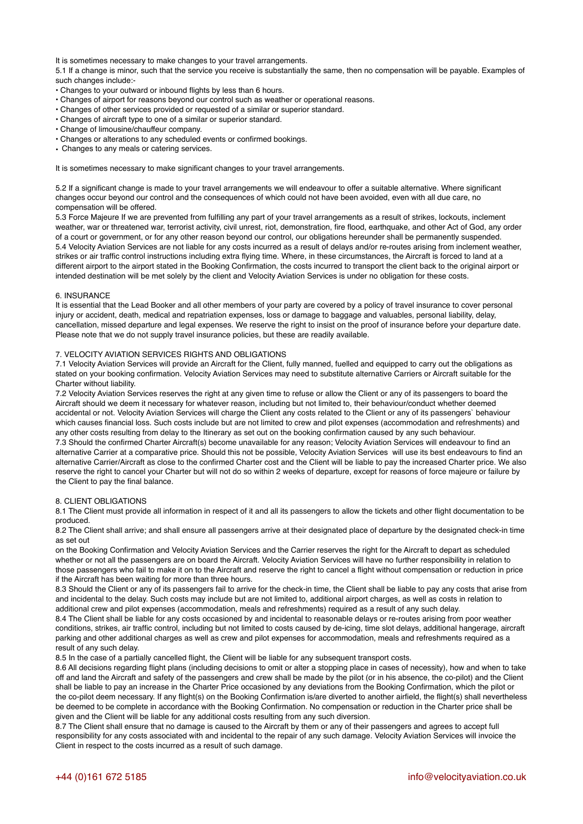It is sometimes necessary to make changes to your travel arrangements.

5.1 If a change is minor, such that the service you receive is substantially the same, then no compensation will be payable. Examples of such changes include:-

- Changes to your outward or inbound flights by less than 6 hours.
- Changes of airport for reasons beyond our control such as weather or operational reasons.
- Changes of other services provided or requested of a similar or superior standard.
- Changes of aircraft type to one of a similar or superior standard.
- Change of limousine/chauffeur company.
- Changes or alterations to any scheduled events or confirmed bookings.
- Changes to any meals or catering services.

It is sometimes necessary to make significant changes to your travel arrangements.

5.2 If a significant change is made to your travel arrangements we will endeavour to offer a suitable alternative. Where significant changes occur beyond our control and the consequences of which could not have been avoided, even with all due care, no compensation will be offered.

5.3 Force Majeure If we are prevented from fulfilling any part of your travel arrangements as a result of strikes, lockouts, inclement weather, war or threatened war, terrorist activity, civil unrest, riot, demonstration, fire flood, earthquake, and other Act of God, any order of a court or government, or for any other reason beyond our control, our obligations hereunder shall be permanently suspended. 5.4 Velocity Aviation Services are not liable for any costs incurred as a result of delays and/or re-routes arising from inclement weather, strikes or air traffic control instructions including extra flying time. Where, in these circumstances, the Aircraft is forced to land at a different airport to the airport stated in the Booking Confirmation, the costs incurred to transport the client back to the original airport or intended destination will be met solely by the client and Velocity Aviation Services is under no obligation for these costs.

## 6. INSURANCE

It is essential that the Lead Booker and all other members of your party are covered by a policy of travel insurance to cover personal injury or accident, death, medical and repatriation expenses, loss or damage to baggage and valuables, personal liability, delay, cancellation, missed departure and legal expenses. We reserve the right to insist on the proof of insurance before your departure date. Please note that we do not supply travel insurance policies, but these are readily available.

### 7. VELOCITY AVIATION SERVICES RIGHTS AND OBLIGATIONS

7.1 Velocity Aviation Services will provide an Aircraft for the Client, fully manned, fuelled and equipped to carry out the obligations as stated on your booking confirmation. Velocity Aviation Services may need to substitute alternative Carriers or Aircraft suitable for the Charter without liability.

7.2 Velocity Aviation Services reserves the right at any given time to refuse or allow the Client or any of its passengers to board the Aircraft should we deem it necessary for whatever reason, including but not limited to, their behaviour/conduct whether deemed accidental or not. Velocity Aviation Services will charge the Client any costs related to the Client or any of its passengers` behaviour which causes financial loss. Such costs include but are not limited to crew and pilot expenses (accommodation and refreshments) and any other costs resulting from delay to the Itinerary as set out on the booking confirmation caused by any such behaviour. 7.3 Should the confirmed Charter Aircraft(s) become unavailable for any reason; Velocity Aviation Services will endeavour to find an alternative Carrier at a comparative price. Should this not be possible, Velocity Aviation Services will use its best endeavours to find an alternative Carrier/Aircraft as close to the confirmed Charter cost and the Client will be liable to pay the increased Charter price. We also reserve the right to cancel your Charter but will not do so within 2 weeks of departure, except for reasons of force majeure or failure by the Client to pay the final balance.

#### 8. CLIENT OBLIGATIONS

8.1 The Client must provide all information in respect of it and all its passengers to allow the tickets and other flight documentation to be produced.

8.2 The Client shall arrive; and shall ensure all passengers arrive at their designated place of departure by the designated check-in time as set out

on the Booking Confirmation and Velocity Aviation Services and the Carrier reserves the right for the Aircraft to depart as scheduled whether or not all the passengers are on board the Aircraft. Velocity Aviation Services will have no further responsibility in relation to those passengers who fail to make it on to the Aircraft and reserve the right to cancel a flight without compensation or reduction in price if the Aircraft has been waiting for more than three hours.

8.3 Should the Client or any of its passengers fail to arrive for the check-in time, the Client shall be liable to pay any costs that arise from and incidental to the delay. Such costs may include but are not limited to, additional airport charges, as well as costs in relation to additional crew and pilot expenses (accommodation, meals and refreshments) required as a result of any such delay.

8.4 The Client shall be liable for any costs occasioned by and incidental to reasonable delays or re-routes arising from poor weather conditions, strikes, air traffic control, including but not limited to costs caused by de-icing, time slot delays, additional hangerage, aircraft parking and other additional charges as well as crew and pilot expenses for accommodation, meals and refreshments required as a result of any such delay.

8.5 In the case of a partially cancelled flight, the Client will be liable for any subsequent transport costs.

8.6 All decisions regarding flight plans (including decisions to omit or alter a stopping place in cases of necessity), how and when to take off and land the Aircraft and safety of the passengers and crew shall be made by the pilot (or in his absence, the co-pilot) and the Client shall be liable to pay an increase in the Charter Price occasioned by any deviations from the Booking Confirmation, which the pilot or the co-pilot deem necessary. If any flight(s) on the Booking Confirmation is/are diverted to another airfield, the flight(s) shall nevertheless be deemed to be complete in accordance with the Booking Confirmation. No compensation or reduction in the Charter price shall be given and the Client will be liable for any additional costs resulting from any such diversion.

8.7 The Client shall ensure that no damage is caused to the Aircraft by them or any of their passengers and agrees to accept full responsibility for any costs associated with and incidental to the repair of any such damage. Velocity Aviation Services will invoice the Client in respect to the costs incurred as a result of such damage.